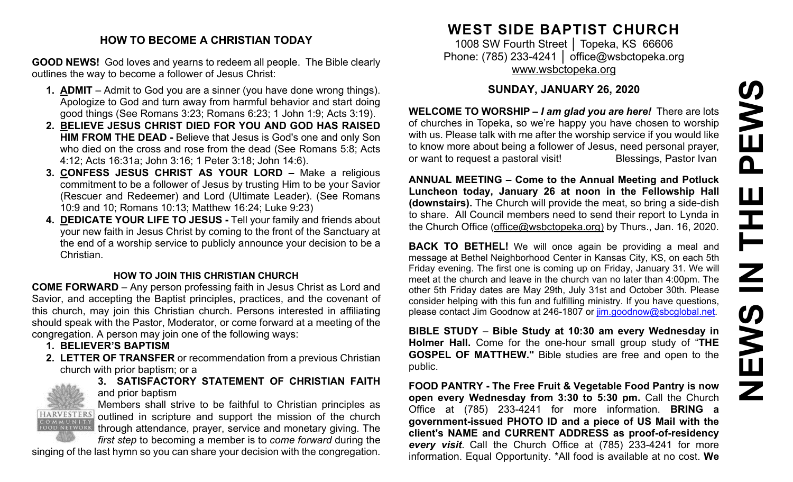#### **HOW TO BECOME A CHRISTIAN TODAY**

**GOOD NEWS!** God loves and yearns to redeem all people. The Bible clearly outlines the way to become a follower of Jesus Christ:

- **1. ADMIT** Admit to God you are a sinner (you have done wrong things). Apologize to God and turn away from harmful behavior and start doing good things (See Romans 3:23; Romans 6:23; 1 John 1:9; Acts 3:19).
- **2. BELIEVE JESUS CHRIST DIED FOR YOU AND GOD HAS RAISED HIM FROM THE DEAD -** Believe that Jesus is God's one and only Son who died on the cross and rose from the dead (See Romans 5:8; Acts 4:12; Acts 16:31a; John 3:16; 1 Peter 3:18; John 14:6).
- **3. CONFESS JESUS CHRIST AS YOUR LORD –** Make a religious commitment to be a follower of Jesus by trusting Him to be your Savior (Rescuer and Redeemer) and Lord (Ultimate Leader). (See Romans 10:9 and 10; Romans 10:13; Matthew 16:24; Luke 9:23)
- **4. DEDICATE YOUR LIFE TO JESUS -** Tell your family and friends about your new faith in Jesus Christ by coming to the front of the Sanctuary at the end of a worship service to publicly announce your decision to be a Christian.

#### **HOW TO JOIN THIS CHRISTIAN CHURCH**

**COME FORWARD** – Any person professing faith in Jesus Christ as Lord and Savior, and accepting the Baptist principles, practices, and the covenant of this church, may join this Christian church. Persons interested in affiliating should speak with the Pastor, Moderator, or come forward at a meeting of the congregation. A person may join one of the following ways:

- **1. BELIEVER'S BAPTISM**
- **2. LETTER OF TRANSFER** or recommendation from a previous Christian church with prior baptism; or a



**3. SATISFACTORY STATEMENT OF CHRISTIAN FAITH** and prior baptism

Members shall strive to be faithful to Christian principles as HARVESTERS outlined in scripture and support the mission of the church FOOD NETWORK, through attendance, prayer, service and monetary giving. The

*first step* to becoming a member is to *come forward* during the singing of the last hymn so you can share your decision with the congregation.

# **WEST SIDE BAPTIST CHURCH**

1008 SW Fourth Street │ Topeka, KS 66606 Phone: (785) 233-4241 │ [office@wsbctopeka.org](mailto:office@wsbctopeka.org) [www.wsbctopeka.org](http://www.wsbctopeka.org/)

### **SUNDAY, JANUARY 26, 2020**

**WELCOME TO WORSHIP –** *I am glad you are here!* There are lots of churches in Topeka, so we're happy you have chosen to worship with us. Please talk with me after the worship service if you would like to know more about being a follower of Jesus, need personal prayer, or want to request a pastoral visit!<br>
Blessings, Pastor Ivan

**ANNUAL MEETING – Come to the Annual Meeting and Potluck Luncheon today, January 26 at noon in the Fellowship Hall (downstairs).** The Church will provide the meat, so bring a side-dish to share. All Council members need to send their report to Lynda in the Church Office [\(office@wsbctopeka.org\)](mailto:office@wsbctopeka.org) by Thurs., Jan. 16, 2020.

**BACK TO BETHEL!** We will once again be providing a meal and message at Bethel Neighborhood Center in Kansas City, KS, on each 5th Friday evening. The first one is coming up on Friday, January 31. We will meet at the church and leave in the church van no later than 4:00pm. The other 5th Friday dates are May 29th, July 31st and October 30th. Please consider helping with this fun and fulfilling ministry. If you have questions, please contact Jim Goodnow at 246-1807 or [jim.goodnow@sbcglobal.net.](mailto:jim.goodnow@sbcglobal.net)

**BIBLE STUDY** – **Bible Study at 10:30 am every Wednesday in Holmer Hall.** Come for the one-hour small group study of "**THE GOSPEL OF MATTHEW."** Bible studies are free and open to the public.

**FOOD PANTRY - The Free Fruit & Vegetable Food Pantry is now open every Wednesday from 3:30 to 5:30 pm. Call the Church** Office at (785) 233-4241 for more information. **BRING a government-issued PHOTO ID and a piece of US Mail with the client's NAME and CURRENT ADDRESS as proof-of-residency**  *every visit*. Call the Church Office at (785) 233-4241 for more information. Equal Opportunity. \*All food is available at no cost. **We**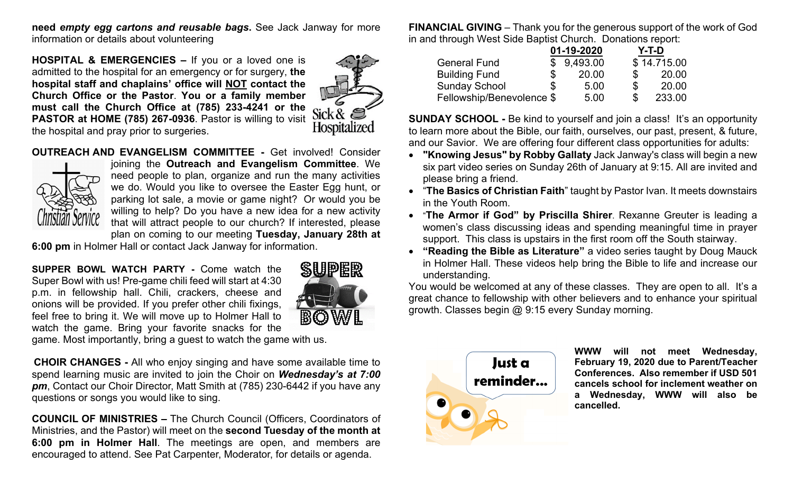**need** *empty egg cartons and reusable bags***.** See Jack Janway for more information or details about volunteering

**HOSPITAL & EMERGENCIES –** If you or a loved one is admitted to the hospital for an emergency or for surgery, **the hospital staff and chaplains' office will NOT contact the Church Office or the Pastor**. **You or a family member must call the Church Office at (785) 233-4241 or the PASTOR at HOME (785) 267-0936**. Pastor is willing to visit the hospital and pray prior to surgeries.



**OUTREACH AND EVANGELISM COMMITTEE -** Get involved! Consider



joining the **Outreach and Evangelism Committee**. We need people to plan, organize and run the many activities we do. Would you like to oversee the Easter Egg hunt, or parking lot sale, a movie or game night? Or would you be willing to help? Do you have a new idea for a new activity that will attract people to our church? If interested, please

plan on coming to our meeting **Tuesday, January 28th at** 

**6:00 pm** in Holmer Hall or contact Jack Janway for information.

**SUPPER BOWL WATCH PARTY -** Come watch the Super Bowl with us! Pre-game chili feed will start at 4:30 p.m. in fellowship hall. Chili, crackers, cheese and onions will be provided. If you prefer other chili fixings, feel free to bring it. We will move up to Holmer Hall to watch the game. Bring your favorite snacks for the



game. Most importantly, bring a guest to watch the game with us.

**CHOIR CHANGES -** All who enjoy singing and have some available time to spend learning music are invited to join the Choir on *Wednesday's at 7:00 pm*, Contact our Choir Director, Matt Smith at (785) 230-6442 if you have any questions or songs you would like to sing.

**COUNCIL OF MINISTRIES –** The Church Council (Officers, Coordinators of Ministries, and the Pastor) will meet on the **second Tuesday of the month at 6:00 pm in Holmer Hall**. The meetings are open, and members are encouraged to attend. See Pat Carpenter, Moderator, for details or agenda.

**FINANCIAL GIVING** – Thank you for the generous support of the work of God in and through West Side Baptist Church. Donations report:

|                           | 01-19-2020 |            |    | Y-T-D       |  |
|---------------------------|------------|------------|----|-------------|--|
| <b>General Fund</b>       |            | \$9,493.00 |    | \$14.715.00 |  |
| <b>Building Fund</b>      | S          | 20.00      | S  | 20.00       |  |
| <b>Sunday School</b>      | \$         | 5.00       | \$ | 20.00       |  |
| Fellowship/Benevolence \$ |            | 5.00       |    | 233.00      |  |

**SUNDAY SCHOOL -** Be kind to yourself and join a class! It's an opportunity to learn more about the Bible, our faith, ourselves, our past, present, & future, and our Savior. We are offering four different class opportunities for adults:

- **"Knowing Jesus" by Robby Gallaty** Jack Janway's class will begin a new six part video series on Sunday 26th of January at 9:15. All are invited and please bring a friend.
- "**The Basics of Christian Faith**" taught by Pastor Ivan. It meets downstairs in the Youth Room.
- "**The Armor if God" by Priscilla Shirer**. Rexanne Greuter is leading a women's class discussing ideas and spending meaningful time in prayer support. This class is upstairs in the first room off the South stairway.
- **"Reading the Bible as Literature"** a video series taught by Doug Mauck in Holmer Hall. These videos help bring the Bible to life and increase our understanding.

You would be welcomed at any of these classes. They are open to all. It's a great chance to fellowship with other believers and to enhance your spiritual growth. Classes begin @ 9:15 every Sunday morning.



**WWW will not meet Wednesday, February 19, 2020 due to Parent/Teacher Conferences. Also remember if USD 501 cancels school for inclement weather on a Wednesday, WWW will also be cancelled.**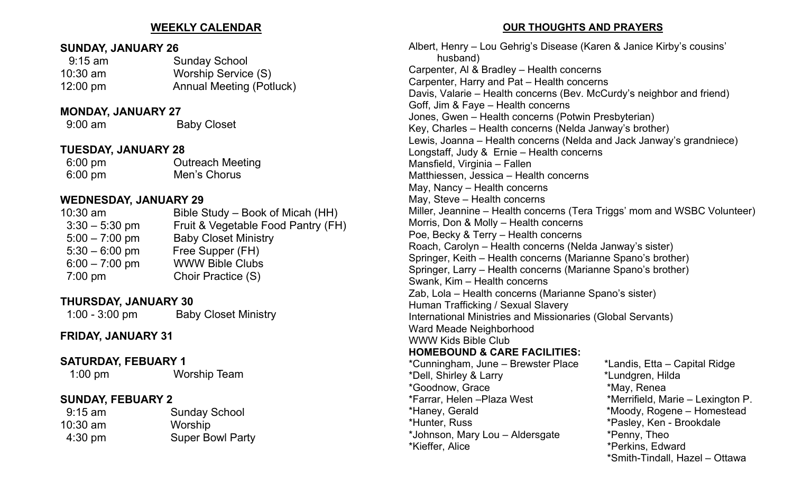### **WEEKLY CALENDAR**

### **SUNDAY, JANUARY 26**

| $9:15$ am          | <b>Sunday School</b>            |
|--------------------|---------------------------------|
| $10:30$ am         | Worship Service (S)             |
| $12:00 \text{ pm}$ | <b>Annual Meeting (Potluck)</b> |

#### **MONDAY, JANUARY 27**

9:00 am Baby Closet

## **TUESDAY, JANUARY 28**

| $6:00 \text{ pm}$ | <b>Outreach Meeting</b> |
|-------------------|-------------------------|
| $6:00 \text{ pm}$ | Men's Chorus            |

# **WEDNESDAY, JANUARY 29**

| $10:30$ am       | Bible Study – Book of Micah (HH)   |
|------------------|------------------------------------|
| $3:30 - 5:30$ pm | Fruit & Vegetable Food Pantry (FH) |
| $5:00 - 7:00$ pm | <b>Baby Closet Ministry</b>        |
| $5:30 - 6:00$ pm | Free Supper (FH)                   |
| $6:00 - 7:00$ pm | <b>WWW Bible Clubs</b>             |
| $7:00$ pm        | Choir Practice (S)                 |
|                  |                                    |

# **THURSDAY, JANUARY 30**

1:00 - 3:00 pm Baby Closet Ministry

## **FRIDAY, JANUARY 31**

# **SATURDAY, FEBUARY 1**

1:00 pm Worship Team

# **SUNDAY, FEBUARY 2**

| <u> JUNUAN, I LUUAN I L</u> |
|-----------------------------|
| <b>Sunday School</b>        |
| Worship                     |
| <b>Super Bowl Party</b>     |
|                             |

#### **OUR THOUGHTS AND PRAYERS**

Albert, Henry – Lou Gehrig's Disease (Karen & Janice Kirby's cousins' husband) Carpenter, Al & Bradley – Health concerns Carpenter, Harry and Pat – Health concerns Davis, Valarie – Health concerns (Bev. McCurdy's neighbor and friend) Goff, Jim & Faye – Health concerns Jones, Gwen – Health concerns (Potwin Presbyterian) Key, Charles – Health concerns (Nelda Janway's brother) Lewis, Joanna – Health concerns (Nelda and Jack Janway's grandniece) Longstaff, Judy & Ernie – Health concerns Mansfield, Virginia – Fallen Matthiessen, Jessica – Health concerns May, Nancy – Health concerns May, Steve – Health concerns Miller, Jeannine – Health concerns (Tera Triggs' mom and WSBC Volunteer) Morris, Don & Molly – Health concerns Poe, Becky & Terry – Health concerns Roach, Carolyn – Health concerns (Nelda Janway's sister) Springer, Keith – Health concerns (Marianne Spano's brother) Springer, Larry – Health concerns (Marianne Spano's brother) Swank, Kim – Health concerns Zab, Lola – Health concerns (Marianne Spano's sister) Human Trafficking / Sexual Slavery International Ministries and Missionaries (Global Servants) Ward Meade Neighborhood WWW Kids Bible Club **HOMEBOUND & CARE FACILITIES:**  \*Cunningham, June – Brewster Place \*Landis, Etta – Capital Ridge \*Dell, Shirley & Larry \*Lundgren, Hilda \*Goodnow, Grace \*May, Renea \*Farrar, Helen –Plaza West \*Merrifield, Marie – Lexington P. \*Haney, Gerald \*Moody, Rogene – Homestead \*Hunter, Russ \*Pasley, Ken - Brookdale \*Johnson, Mary Lou – Aldersgate \*Penny, Theo \*Kieffer, Alice \*Perkins, Edward

\*Smith-Tindall, Hazel – Ottawa